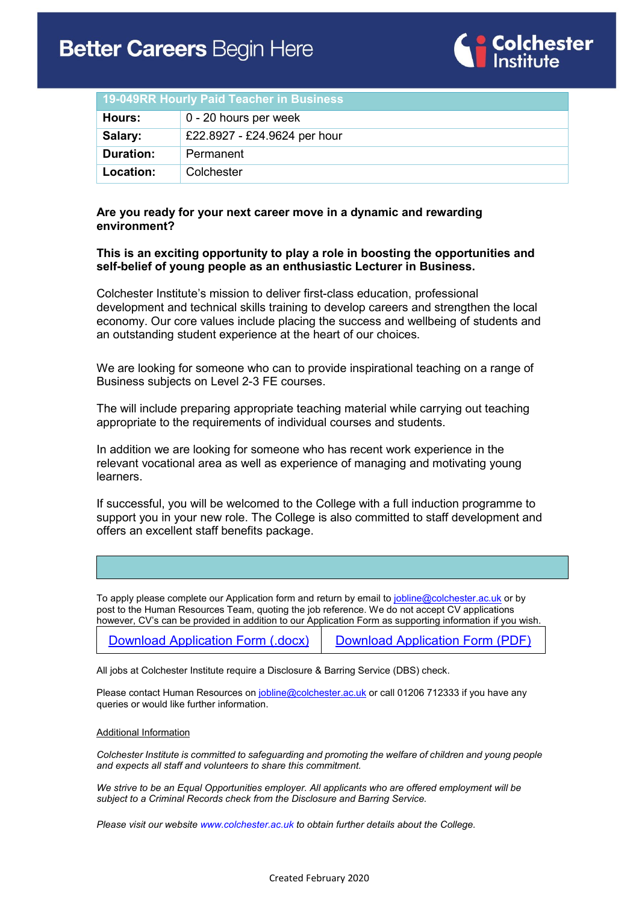

| 19-049RR Hourly Paid Teacher in Business |                              |
|------------------------------------------|------------------------------|
| Hours:                                   | 0 - 20 hours per week        |
| Salary:                                  | £22.8927 - £24.9624 per hour |
| <b>Duration:</b>                         | Permanent                    |
| Location:                                | Colchester                   |

### **Are you ready for your next career move in a dynamic and rewarding environment?**

### **This is an exciting opportunity to play a role in boosting the opportunities and self-belief of young people as an enthusiastic Lecturer in Business.**

Colchester Institute's mission to deliver first-class education, professional development and technical skills training to develop careers and strengthen the local economy. Our core values include placing the success and wellbeing of students and an outstanding student experience at the heart of our choices.

We are looking for someone who can to provide inspirational teaching on a range of Business subjects on Level 2-3 FE courses.

The will include preparing appropriate teaching material while carrying out teaching appropriate to the requirements of individual courses and students.

In addition we are looking for someone who has recent work experience in the relevant vocational area as well as experience of managing and motivating young learners.

If successful, you will be welcomed to the College with a full induction programme to support you in your new role. The College is also committed to staff development and offers an excellent staff benefits package.

To apply please complete our Application form and return by email to [jobline@colchester.ac.uk](mailto:jobline@colchester.ac.uk) or by post to the Human Resources Team, quoting the job reference. We do not accept CV applications however, CV's can be provided in addition to our Application Form as supporting information if you wish.

| Download Application Form (.docx) | <b>Download Application Form (PDF)</b> |
|-----------------------------------|----------------------------------------|
|                                   |                                        |

All jobs at Colchester Institute require a Disclosure & Barring Service (DBS) check.

Please contact Human Resources on [jobline@colchester.ac.uk](mailto:jobline@colchester.ac.uk) or call 01206 712333 if you have any queries or would like further information.

#### Additional Information

*Colchester Institute is committed to safeguarding and promoting the welfare of children and young people and expects all staff and volunteers to share this commitment.*

*We strive to be an Equal Opportunities employer. All applicants who are offered employment will be subject to a Criminal Records check from the Disclosure and Barring Service.*

*Please visit our websit[e www.colchester.ac.uk](http://www.colchester.ac.uk/) to obtain further details about the College.*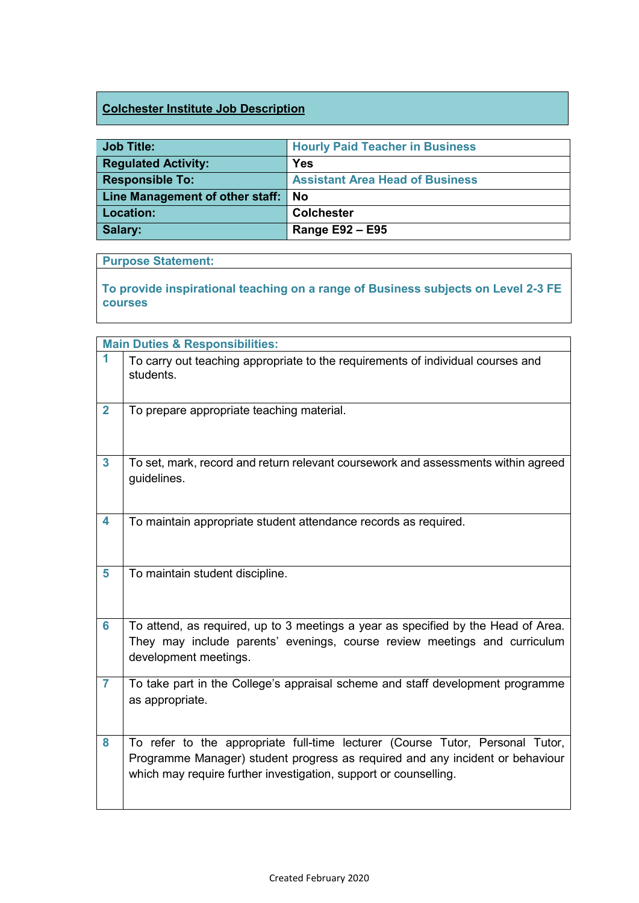# **Colchester Institute Job Description**

| <b>Job Title:</b>                  | <b>Hourly Paid Teacher in Business</b> |
|------------------------------------|----------------------------------------|
|                                    |                                        |
| <b>Regulated Activity:</b>         | Yes                                    |
| <b>Responsible To:</b>             | <b>Assistant Area Head of Business</b> |
| Line Management of other staff: No |                                        |
|                                    |                                        |
| Location:                          | <b>Colchester</b>                      |

### **Purpose Statement:**

**To provide inspirational teaching on a range of Business subjects on Level 2-3 FE courses**

|                         | <b>Main Duties &amp; Responsibilities:</b>                                                                                                                                                                                         |
|-------------------------|------------------------------------------------------------------------------------------------------------------------------------------------------------------------------------------------------------------------------------|
| 1                       | To carry out teaching appropriate to the requirements of individual courses and<br>students.                                                                                                                                       |
| $\overline{2}$          | To prepare appropriate teaching material.                                                                                                                                                                                          |
| 3                       | To set, mark, record and return relevant coursework and assessments within agreed<br>guidelines.                                                                                                                                   |
| $\overline{\mathbf{4}}$ | To maintain appropriate student attendance records as required.                                                                                                                                                                    |
| 5                       | To maintain student discipline.                                                                                                                                                                                                    |
| 6                       | To attend, as required, up to 3 meetings a year as specified by the Head of Area.<br>They may include parents' evenings, course review meetings and curriculum<br>development meetings.                                            |
| $\overline{7}$          | To take part in the College's appraisal scheme and staff development programme<br>as appropriate.                                                                                                                                  |
| 8                       | To refer to the appropriate full-time lecturer (Course Tutor, Personal Tutor,<br>Programme Manager) student progress as required and any incident or behaviour<br>which may require further investigation, support or counselling. |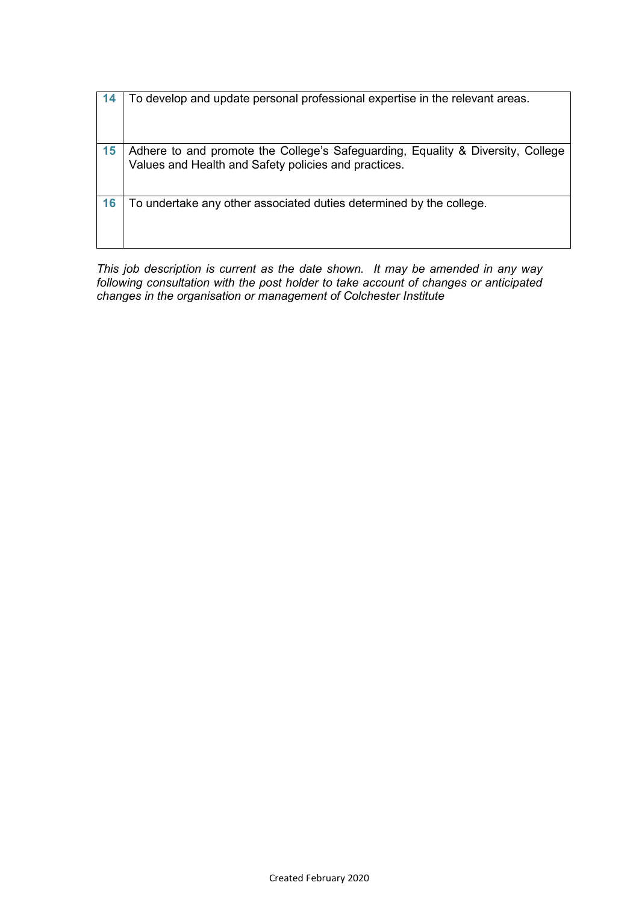| 14 | To develop and update personal professional expertise in the relevant areas.                                                            |
|----|-----------------------------------------------------------------------------------------------------------------------------------------|
| 15 | Adhere to and promote the College's Safeguarding, Equality & Diversity, College<br>Values and Health and Safety policies and practices. |
| 16 | To undertake any other associated duties determined by the college.                                                                     |

*This job description is current as the date shown. It may be amended in any way following consultation with the post holder to take account of changes or anticipated changes in the organisation or management of Colchester Institute*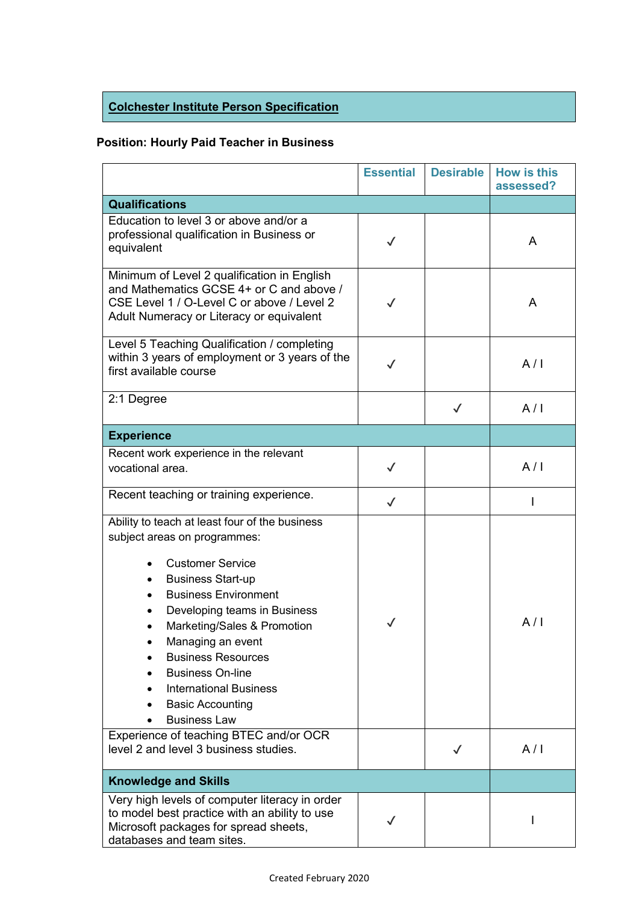# **Colchester Institute Person Specification**

# **Position: Hourly Paid Teacher in Business**

|                                                                                                                                                                                                                                                                                                                                                                                                                                                                                                                  | <b>Essential</b> | <b>Desirable</b> | <b>How is this</b><br>assessed? |
|------------------------------------------------------------------------------------------------------------------------------------------------------------------------------------------------------------------------------------------------------------------------------------------------------------------------------------------------------------------------------------------------------------------------------------------------------------------------------------------------------------------|------------------|------------------|---------------------------------|
| <b>Qualifications</b>                                                                                                                                                                                                                                                                                                                                                                                                                                                                                            |                  |                  |                                 |
| Education to level 3 or above and/or a<br>professional qualification in Business or<br>equivalent                                                                                                                                                                                                                                                                                                                                                                                                                |                  |                  | A                               |
| Minimum of Level 2 qualification in English<br>and Mathematics GCSE 4+ or C and above /<br>CSE Level 1 / O-Level C or above / Level 2<br>Adult Numeracy or Literacy or equivalent                                                                                                                                                                                                                                                                                                                                | $\checkmark$     |                  | A                               |
| Level 5 Teaching Qualification / completing<br>within 3 years of employment or 3 years of the<br>first available course                                                                                                                                                                                                                                                                                                                                                                                          | $\checkmark$     |                  | A/I                             |
| 2:1 Degree                                                                                                                                                                                                                                                                                                                                                                                                                                                                                                       |                  | $\checkmark$     | A/I                             |
| <b>Experience</b>                                                                                                                                                                                                                                                                                                                                                                                                                                                                                                |                  |                  |                                 |
| Recent work experience in the relevant<br>vocational area.                                                                                                                                                                                                                                                                                                                                                                                                                                                       | $\checkmark$     |                  | A/I                             |
| Recent teaching or training experience.                                                                                                                                                                                                                                                                                                                                                                                                                                                                          | $\checkmark$     |                  |                                 |
| Ability to teach at least four of the business<br>subject areas on programmes:<br><b>Customer Service</b><br><b>Business Start-up</b><br>$\bullet$<br><b>Business Environment</b><br>Developing teams in Business<br>$\bullet$<br>Marketing/Sales & Promotion<br>Managing an event<br><b>Business Resources</b><br><b>Business On-line</b><br><b>International Business</b><br><b>Basic Accounting</b><br><b>Business Law</b><br>Experience of teaching BTEC and/or OCR<br>level 2 and level 3 business studies. | $\checkmark$     | ✓                | A/I<br>A/I                      |
| <b>Knowledge and Skills</b>                                                                                                                                                                                                                                                                                                                                                                                                                                                                                      |                  |                  |                                 |
| Very high levels of computer literacy in order<br>to model best practice with an ability to use<br>Microsoft packages for spread sheets,<br>databases and team sites.                                                                                                                                                                                                                                                                                                                                            |                  |                  |                                 |